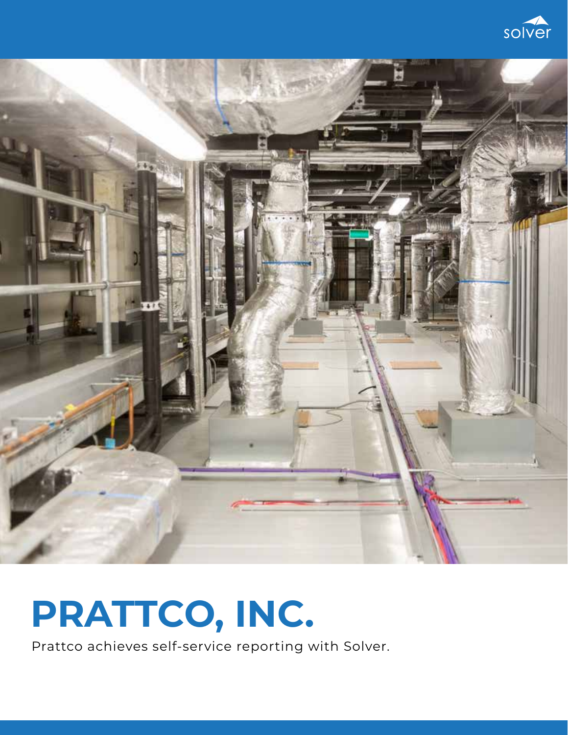



# **PRATTCO, INC.**

Prattco achieves self-service reporting with Solver.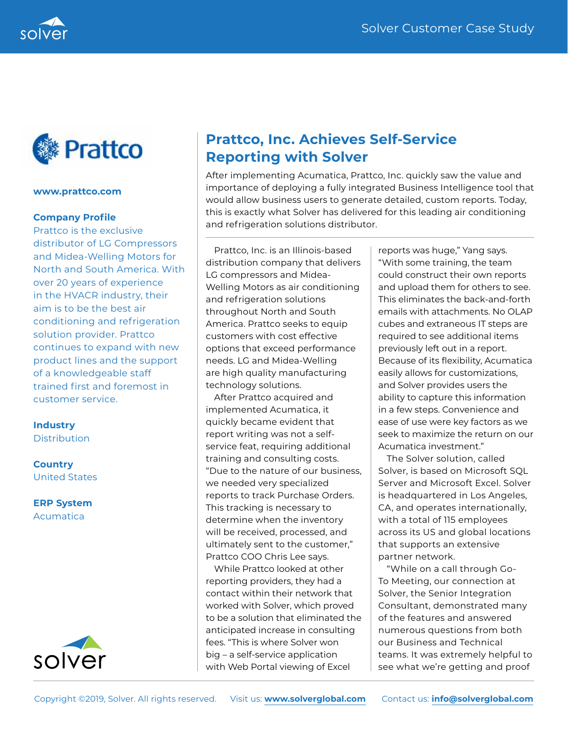



### **www.prattco.com**

# **Company Profile**

Prattco is the exclusive distributor of LG Compressors and Midea-Welling Motors for North and South America. With over 20 years of experience in the HVACR industry, their aim is to be the best air conditioning and refrigeration solution provider. Prattco continues to expand with new product lines and the support of a knowledgeable staff trained first and foremost in customer service.

### **Industry**

**Distribution** 

# **Country** United States

**ERP System** Acumatica



# **Prattco, Inc. Achieves Self-Service Reporting with Solver**

After implementing Acumatica, Prattco, Inc. quickly saw the value and importance of deploying a fully integrated Business Intelligence tool that would allow business users to generate detailed, custom reports. Today, this is exactly what Solver has delivered for this leading air conditioning and refrigeration solutions distributor.

Prattco, Inc. is an Illinois-based distribution company that delivers LG compressors and Midea-Welling Motors as air conditioning and refrigeration solutions throughout North and South America. Prattco seeks to equip customers with cost effective options that exceed performance needs. LG and Midea-Welling are high quality manufacturing technology solutions.

After Prattco acquired and implemented Acumatica, it quickly became evident that report writing was not a selfservice feat, requiring additional training and consulting costs. "Due to the nature of our business, we needed very specialized reports to track Purchase Orders. This tracking is necessary to determine when the inventory will be received, processed, and ultimately sent to the customer," Prattco COO Chris Lee says.

While Prattco looked at other reporting providers, they had a contact within their network that worked with Solver, which proved to be a solution that eliminated the anticipated increase in consulting fees. "This is where Solver won big – a self-service application with Web Portal viewing of Excel

reports was huge," Yang says. "With some training, the team could construct their own reports and upload them for others to see. This eliminates the back-and-forth emails with attachments. No OLAP cubes and extraneous IT steps are required to see additional items previously left out in a report. Because of its flexibility, Acumatica easily allows for customizations, and Solver provides users the ability to capture this information in a few steps. Convenience and ease of use were key factors as we seek to maximize the return on our Acumatica investment."

The Solver solution, called Solver, is based on Microsoft SQL Server and Microsoft Excel. Solver is headquartered in Los Angeles, CA, and operates internationally, with a total of 115 employees across its US and global locations that supports an extensive partner network.

"While on a call through Go-To Meeting, our connection at Solver, the Senior Integration Consultant, demonstrated many of the features and answered numerous questions from both our Business and Technical teams. It was extremely helpful to see what we're getting and proof